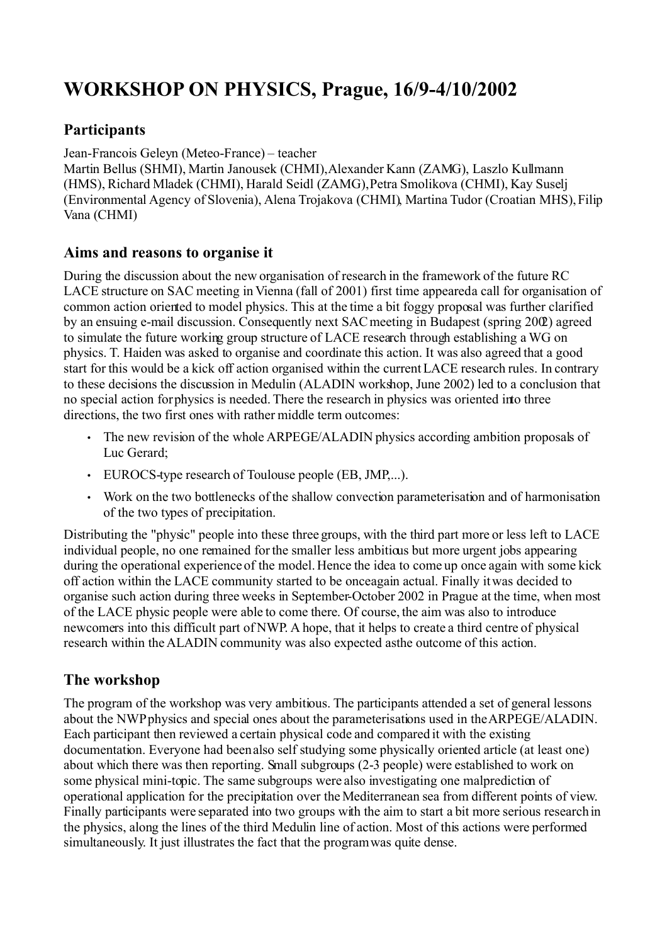# **WORKSHOP ON PHYSICS, Prague, 16/9-4/10/2002**

## **Participants**

Jean-Francois Geleyn (Meteo-France) – teacher

Martin Bellus (SHMI), Martin Janousek (CHMI),Alexander Kann (ZAMG), Laszlo Kullmann (HMS), Richard Mladek (CHMI), Harald Seidl (ZAMG), Petra Smolikova (CHMI), Kay Suselj (Environmental Agency of Slovenia), Alena Trojakova (CHMI), Martina Tudor (Croatian MHS), Filip Vana (CHMI)

#### **Aims and reasons to organise it**

During the discussion about the new organisation of research in the framework of the future RC LACE structure on SAC meeting in Vienna (fall of 2001) first time appeared a call for organisation of common action oriented to model physics. This at the time a bit foggy proposal was further clarified by an ensuing e-mail discussion. Consequently next SAC meeting in Budapest (spring 2002) agreed to simulate the future working group structure of LACE research through establishing a WG on physics. T. Haiden was asked to organise and coordinate this action. It was also agreed that a good start for this would be a kick off action organised within the current LACE research rules. In contrary to these decisions the discussion in Medulin (ALADIN workshop, June 2002) led to a conclusion that no special action for physics is needed. There the research in physics was oriented into three directions, the two first ones with rather middle term outcomes:

- The new revision of the whole ARPEGE/ALADIN physics according ambition proposals of Luc Gerard;
- EUROCS-type research of Toulouse people (EB, JMP,...).
- Work on the two bottlenecks of the shallow convection parameterisation and of harmonisation of the two types of precipitation.

Distributing the "physic" people into these three groups, with the third part more or less left to LACE individual people, no one remained for the smaller less ambitious but more urgent jobs appearing during the operational experience of the model. Hence the idea to come up once again with some kick off action within the LACE community started to be once again actual. Finally itwas decided to organise such action during three weeks in September-October 2002 in Prague at the time, when most of the LACE physic people were able to come there. Of course, the aim was also to introduce newcomers into this difficult part of NWP. A hope, that it helps to create a third centre of physical research within the ALADIN community was also expected as the outcome of this action.

### **The workshop**

The program of the workshop was very ambitious. The participants attended a set of general lessons about the NWP physics and special ones about the parameterisations used in the ARPEGE/ALADIN. Each participant then reviewed a certain physical code and compared it with the existing documentation. Everyone had been also self studying some physically oriented article (at least one) about which there was then reporting. Small subgroups (2-3 people) were established to work on some physical mini-topic. The same subgroups were also investigating one malprediction of operational application for the precipitation over the Mediterranean sea from different points of view. Finally participants were separated into two groups with the aim to start a bit more serious research in the physics, along the lines of the third Medulin line of action. Most of this actions were performed simultaneously. It just illustrates the fact that the program was quite dense.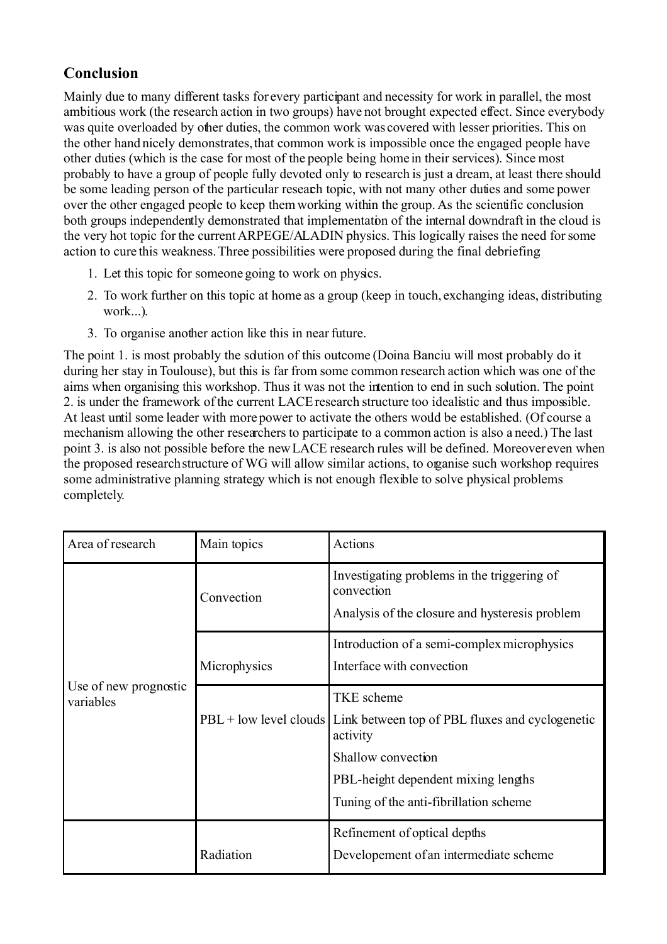# **Conclusion**

Mainly due to many different tasks for every participant and necessity for work in parallel, the most ambitious work (the research action in two groups) have not brought expected effect. Since everybody was quite overloaded by other duties, the common work was covered with lesser priorities. This on the other hand nicely demonstrates, that common work is impossible once the engaged people have other duties (which is the case for most of the people being home in their services). Since most probably to have a group of people fully devoted only to research is just a dream, at least there should be some leading person of the particular research topic, with not many other duties and some power over the other engaged people to keep them working within the group. As the scientific conclusion both groups independently demonstrated that implementation of the internal downdraft in the cloud is the very hot topic for the current ARPEGE/ALADIN physics. This logically raises the need for some action to cure this weakness. Three possibilities were proposed during the final debriefing:

- 1. Let this topic for someone going to work on physics.
- 2. To work further on this topic at home as a group (keep in touch, exchanging ideas, distributing work...).
- 3. To organise another action like this in near future.

The point 1. is most probably the solution of this outcome (Doina Banciu will most probably do it during her stay in Toulouse), but this is far from some common research action which was one of the aims when organising this workshop. Thus it was not the intention to end in such solution. The point 2. is under the framework of the current LACE research structure too idealistic and thus impossible. At least until some leader with more power to activate the others would be established. (Of course a mechanism allowing the other researchers to participate to a common action is also a need.) The last point 3. is also not possible before the new LACE research rules will be defined. Moreover even when the proposed research structure of WG will allow similar actions, to organise such workshop requires some administrative planning strategy which is not enough flexible to solve physical problems completely.

| Area of research                   | Main topics  | Actions                                                                                                                                                                                                          |
|------------------------------------|--------------|------------------------------------------------------------------------------------------------------------------------------------------------------------------------------------------------------------------|
| Use of new prognostic<br>variables | Convection   | Investigating problems in the triggering of<br>convection<br>Analysis of the closure and hysteresis problem                                                                                                      |
|                                    | Microphysics | Introduction of a semi-complex microphysics<br>Interface with convection                                                                                                                                         |
|                                    |              | <b>TKE</b> scheme<br>$PBL + low$ level clouds Link between top of PBL fluxes and cyclogenetic<br>activity<br>Shallow convection<br>PBL-height dependent mixing lengths<br>Tuning of the anti-fibrillation scheme |
|                                    | Radiation    | Refinement of optical depths<br>Developement of an intermediate scheme                                                                                                                                           |